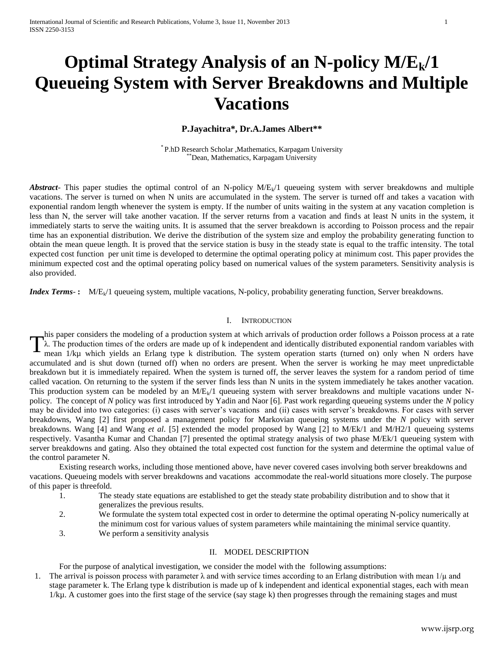# **Optimal Strategy Analysis of an N-policy M/Ek/1 Queueing System with Server Breakdowns and Multiple Vacations**

## **P.Jayachitra\*, Dr.A.James Albert\*\***

\* P.hD Research Scholar ,Mathematics, Karpagam University \*Dean, Mathematics, Karpagam University

*Abstract*- This paper studies the optimal control of an N-policy  $M/E<sub>k</sub>/1$  queueing system with server breakdowns and multiple vacations. The server is turned on when N units are accumulated in the system. The server is turned off and takes a vacation with exponential random length whenever the system is empty. If the number of units waiting in the system at any vacation completion is less than N, the server will take another vacation. If the server returns from a vacation and finds at least N units in the system, it immediately starts to serve the waiting units. It is assumed that the server breakdown is according to Poisson process and the repair time has an exponential distribution. We derive the distribution of the system size and employ the probability generating function to obtain the mean queue length. It is proved that the service station is busy in the steady state is equal to the traffic intensity. The total expected cost function per unit time is developed to determine the optimal operating policy at minimum cost. This paper provides the minimum expected cost and the optimal operating policy based on numerical values of the system parameters. Sensitivity analysis is also provided.

*Index Terms*-: M/E<sub>k</sub>/1 queueing system, multiple vacations, N-policy, probability generating function, Server breakdowns.

### I. INTRODUCTION

his paper considers the modeling of a production system at which arrivals of production order follows a Poisson process at a rate λ. The production times of the orders are made up of k independent and identically distributed exponential random variables with mean 1/kµ which yields an Erlang type k distribution. The system operation starts (turned on) only when N orders have accumulated and is shut down (turned off) when no orders are present. When the server is working he may meet unpredictable breakdown but it is immediately repaired. When the system is turned off, the server leaves the system for a random period of time called vacation. On returning to the system if the server finds less than N units in the system immediately he takes another vacation. This production system can be modeled by an  $M/E<sub>k</sub>/1$  queueing system with server breakdowns and multiple vacations under Npolicy. The concept of *N* policy was first introduced by Yadin and Naor [6]. Past work regarding queueing systems under the *N* policy may be divided into two categories: (i) cases with server's vacations and (ii) cases with server's breakdowns. For cases with server breakdowns, Wang [2] first proposed a management policy for Markovian queueing systems under the *N* policy with server breakdowns. Wang [4] and Wang *et al*. [5] extended the model proposed by Wang [2] to M/Ek/1 and M/H2/1 queueing systems respectively. Vasantha Kumar and Chandan [7] presented the optimal strategy analysis of two phase M/Ek/1 queueing system with server breakdowns and gating. Also they obtained the total expected cost function for the system and determine the optimal value of the control parameter N. T

Existing research works, including those mentioned above, have never covered cases involving both server breakdowns and vacations. Queueing models with server breakdowns and vacations accommodate the real-world situations more closely. The purpose of this paper is threefold.

- 1. The steady state equations are established to get the steady state probability distribution and to show that it generalizes the previous results.
- 2. We formulate the system total expected cost in order to determine the optimal operating N-policy numerically at the minimum cost for various values of system parameters while maintaining the minimal service quantity.
- 3. We perform a sensitivity analysis

## II. MODEL DESCRIPTION

For the purpose of analytical investigation, we consider the model with the following assumptions:

1. The arrival is poisson process with parameter  $\lambda$  and with service times according to an Erlang distribution with mean  $1/\mu$  and stage parameter k. The Erlang type k distribution is made up of k independent and identical exponential stages, each with mean 1/kµ. A customer goes into the first stage of the service (say stage k) then progresses through the remaining stages and must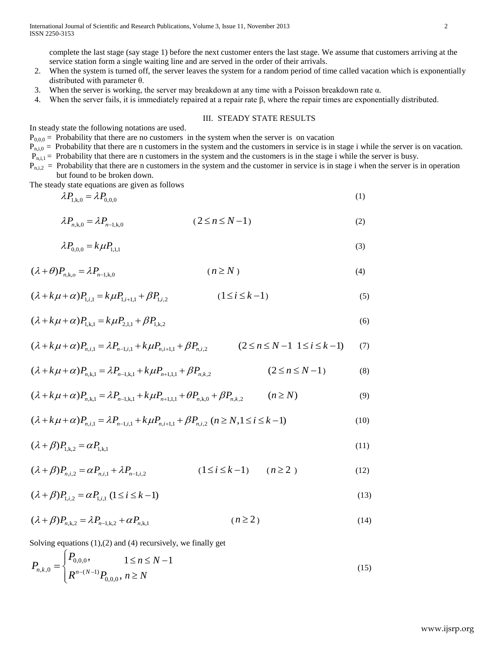complete the last stage (say stage 1) before the next customer enters the last stage. We assume that customers arriving at the service station form a single waiting line and are served in the order of their arrivals.

- 2. When the system is turned off, the server leaves the system for a random period of time called vacation which is exponentially distributed with parameter θ.
- 3. When the server is working, the server may breakdown at any time with a Poisson breakdown rate  $\alpha$ .
- 4. When the server fails, it is immediately repaired at a repair rate  $\beta$ , where the repair times are exponentially distributed.

## III. STEADY STATE RESULTS

In steady state the following notations are used.

 $P_{0,0,0}$  = Probability that there are no customers in the system when the server is on vacation

 $P_{n,i,j}$  = Probability that there are n customers in the system and the customers in service is in stage i while the server is on vacation.

 $P_{n,i,l}$  = Probability that there are n customers in the system and the customers is in the stage i while the server is busy.

 $P_{n,i,2}$  = Probability that there are n customers in the system and the customer in service is in stage i when the server is in operation but found to be broken down.

The steady state equations are given as follows

$$
\lambda P_{1,k,0} = \lambda P_{0,0,0} \tag{1}
$$

$$
\lambda P_{n,k,0} = \lambda P_{n-1,k,0} \qquad (2 \le n \le N-1)
$$
 (2)

$$
\lambda P_{0,0,0} = k \mu P_{1,1,1} \tag{3}
$$

$$
(\lambda + \theta)P_{n,k,o} = \lambda P_{n-1,k,0} \qquad (n \ge N)
$$

$$
(\lambda + k\mu + \alpha)P_{1,i,1} = k\mu P_{1,i+1,1} + \beta P_{1,i,2}
$$
 (1 \le i \le k - 1) (5)

$$
(\lambda + k\mu + \alpha)P_{1,k,1} = k\mu P_{2,1,1} + \beta P_{1,k,2}
$$
\n(6)

$$
(\lambda + k\mu + \alpha)P_{n,i,1} = \lambda P_{n-1,i,1} + k\mu P_{n,i+1,1} + \beta P_{n,i,2}
$$
\n
$$
(2 \le n \le N-1 \ 1 \le i \le k-1) \tag{7}
$$

$$
(\lambda + k\mu + \alpha)P_{n,k,1} = \lambda P_{n-1,k,1} + k\mu P_{n+1,1,1} + \beta P_{n,k,2}
$$
\n
$$
(\lambda + k\mu + \alpha)P_{n,k,1} = \lambda P_{n-1,k,1} + k\mu P_{n+1,1,1} + \beta P_{n,k,2}
$$
\n
$$
(2 \le n \le N - 1)
$$
\n(8)

$$
(\lambda + k\mu + \alpha)P_{n,k,1} = \lambda P_{n-1,k,1} + k\mu P_{n+1,1,1} + \beta P_{n,k,2}
$$
\n
$$
(\lambda + k\mu + \alpha)P_{n,k,1} = \lambda P_{n-1,k,1} + k\mu P_{n+1,1,1} + \theta P_{n,k,0} + \beta P_{n,k,2}
$$
\n
$$
(n \ge N)
$$
\n(9)

$$
(\lambda + k\mu + \alpha)P_{n,i,1} = \lambda P_{n-1,i,1} + k\mu P_{n,i+1,1} + \beta P_{n,i,2} \quad (n \ge N, 1 \le i \le k-1)
$$
\n(10)

$$
(\lambda + \beta)P_{1,k,2} = \alpha P_{1,k,1} \tag{11}
$$

$$
(\lambda + \beta)P_{n,i,2} = \alpha P_{n,i,1} + \lambda P_{n-1,i,2}
$$
 (1 \le i \le k-1) (n \ge 2) (12)

$$
(\lambda + \beta)P_{1,i,2} = \alpha P_{1,i,1} \ (1 \le i \le k - 1)
$$
\n(13)

$$
(\lambda + \beta)P_{n,k,2} = \lambda P_{n-1,k,2} + \alpha P_{n,k,1}
$$
 (n \ge 2) (14)

Solving equations (1),(2) and (4) recursively, we finally get

$$
P_{n,k,0} = \begin{cases} P_{0,0,0}, & 1 \le n \le N-1 \\ R^{n-(N-1)} P_{0,0,0}, & n \ge N \end{cases} \tag{15}
$$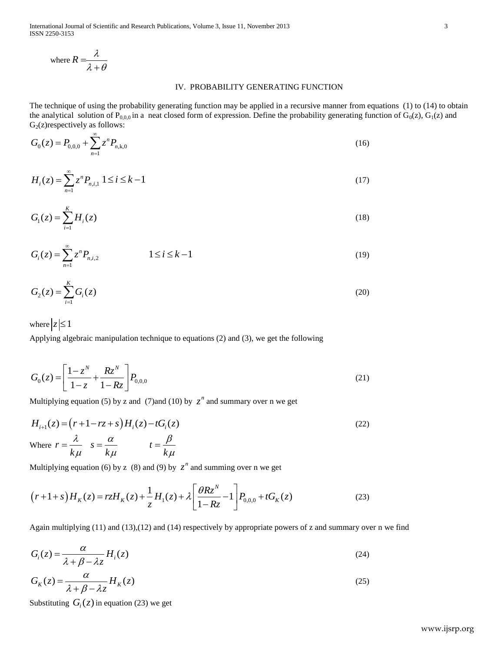International Journal of Scientific and Research Publications, Volume 3, Issue 11, November 2013 3 ISSN 2250-3153

where 
$$
R = \frac{\lambda}{\lambda + \theta}
$$

# IV. PROBABILITY GENERATING FUNCTION

The technique of using the probability generating function may be applied in a recursive manner from equations (1) to (14) to obtain the analytical solution of P<sub>0,0,0</sub> in a neat closed form of expression. Define the probability generating function of G<sub>0</sub>(z), G<sub>1</sub>(z) and  $G_2(z)$ respectively as follows:

$$
G_0(z) = P_{0,0,0} + \sum_{n=1}^{\infty} z^n P_{n,k,0}
$$
\n(16)

$$
H_i(z) = \sum_{n=1}^{\infty} z^n P_{n,i,1} \ 1 \le i \le k-1
$$
 (17)

$$
G_1(z) = \sum_{i=1}^{K} H_i(z)
$$
 (18)

$$
G_i(z) = \sum_{n=1}^{\infty} z^n P_{n,i,2} \qquad \qquad 1 \le i \le k-1 \tag{19}
$$

$$
G_2(z) = \sum_{i=1}^{K} G_i(z)
$$
 (20)

where  $|z| \leq 1$ 

Applying algebraic manipulation technique to equations (2) and (3), we get the following

$$
G_0(z) = \left[\frac{1-z^N}{1-z} + \frac{Rz^N}{1-Rz}\right] P_{0,0,0}
$$
\n(21)

Multiplying equation (5) by z and (7)and (10) by  $z^n$  and summary over n we get

$$
H_{i+1}(z) = (r+1-rz+s)H_i(z) - tG_i(z)
$$
  
Where  $r = \frac{\lambda}{k\mu}$   $s = \frac{\alpha}{k\mu}$   $t = \frac{\beta}{k\mu}$  (22)

Multiplying equation (6) by z (8) and (9) by 
$$
z^n
$$
 and summing over n we get  
\n
$$
(r+1+s)H_K(z) = rzH_K(z) + \frac{1}{z}H_1(z) + \lambda \left[\frac{\theta Rz^N}{1-Rz} - 1\right]P_{0,0,0} + tG_K(z)
$$
\n(23)

Again multiplying (11) and (13),(12) and (14) respectively by appropriate powers of z and summary over n we find

$$
G_i(z) = \frac{\alpha}{\lambda + \beta - \lambda z} H_i(z)
$$
\n(24)

$$
G_K(z) = \frac{\alpha}{\lambda + \beta - \lambda z} H_K(z)
$$
\n(25)

Substituting  $G_i(z)$  in equation (23) we get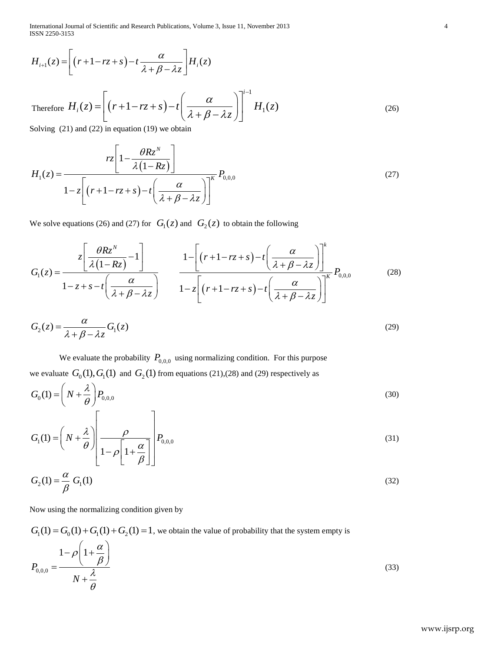International Journal of Scientific and Research Publications, Volume 3, Issue 11, November 2013 4 ISSN 2250-3153

$$
H_{i+1}(z) = \left[ (r+1-rz+s) - t \frac{\alpha}{\lambda + \beta - \lambda z} \right] H_i(z)
$$
  
Therefore  $H_i(z) = \left[ (r+1-rz+s) - t \left( \frac{\alpha}{\lambda + \beta - \lambda z} \right) \right]^{i-1} H_1(z)$  (26)  
Solving (21) and (22) in equation (19) we obtain  

$$
\left[ 1 - \frac{\theta R z^N}{n} \right]
$$

$$
H_1(z) = \frac{rz \left[1 - \frac{\theta R z^N}{\lambda (1 - R z)}\right]}{1 - z \left[(r + 1 - rz + s) - t \left(\frac{\alpha}{\lambda + \beta - \lambda z}\right)\right]^K} P_{0,0,0}
$$
(27)

We solve equations (26) and (27) for  $G_1(z)$  and  $G_2(z)$  to obtain the following

$$
H_{i+1}(z) = \left[ (r+1-rz+s) - t \frac{\alpha}{\lambda + \beta - \lambda z} \right] H_i(z)
$$
  
\nTherefore  $H_i(z) = \left[ (r+1-rz+s) - t \left( \frac{\alpha}{\lambda + \beta - \lambda z} \right) \right]^i + H_1(z)$  (26)  
\nSolving (21) and (22) in equation (19) we obtain  
\n
$$
r_z \left[ 1 - \frac{\partial Rz^N}{\lambda + \beta - \lambda z} \right] \right]^i + H_1(z)
$$
 (26)  
\nSolving (21) and (22) in equation (19) we obtain  
\n
$$
r_z \left[ 1 - \frac{\partial Rz^N}{\lambda + \beta - \lambda z} \right]^i
$$
 (27)  
\nWe solve equations (26) and (27) for  $G_i(z)$  and  $G_2(z)$  to obtain the following  
\n
$$
G_i(z) = \frac{z \left[ \frac{\partial Rz^N}{\lambda + \beta - \lambda z} - 1 \right]}{1 - z + s - t \left[ \frac{\alpha}{\lambda + \beta - \lambda z} \right]} \frac{1 - \left[ (r+1-rz+s) - t \left( \frac{\alpha}{\lambda + \beta - \lambda z} \right) \right]^i}{1 - z \left[ (r+1-rz+s) - t \left( \frac{\alpha}{\lambda + \beta - \lambda z} \right) \right]^k}
$$
 (28)  
\n
$$
G_2(z) = \frac{\alpha}{\lambda + \beta - \lambda z} G_i(z)
$$
 (29)  
\nWe evaluate the probability  $P_{0,0}$  using a normalization condition. For this purpose  
\nwe evaluate  $G_0(1)$ ,  $G_1(1)$  and  $G_2(1)$  from equations (21),(28) and (29) respectively as  
\n
$$
G_0(1) = \left( N + \frac{\lambda}{\beta} \right) P_{0,0,0}
$$
 (30)  
\n
$$
G_1(1) = \left( N + \frac{\lambda}{\beta} \right) \left[ \frac{\rho}{1 - \rho \left[ 1 + \frac{\alpha}{\beta} \right]} \right] P_{0,0,0}
$$
 (31)  
\nNow using the normalizing condition given by  
\n
$$
G_1(1) = G_0(1) + G_1(1) + G_2(1) = 1
$$
, we obtain the value of probability that

$$
G_2(z) = \frac{\alpha}{\lambda + \beta - \lambda z} G_1(z)
$$
\n(29)

We evaluate the probability  $P_{0,0,0}$  using normalizing condition. For this purpose we evaluate  $G_0(1), G_1(1)$  and  $G_2(1)$  from equations (21),(28) and (29) respectively as

$$
G_0(1) = \left(N + \frac{\lambda}{\theta}\right) P_{0,0,0}
$$
\n(30)

$$
G_{\rm I}(1) = \left(N + \frac{\lambda}{\theta}\right) \left[\frac{\rho}{1 - \rho \left[1 + \frac{\alpha}{\beta}\right]}\right] P_{0,0,0}
$$
\n(31)

$$
G_2(1) = \frac{\alpha}{\beta} G_1(1) \tag{32}
$$

Now using the normalizing condition given by

 $G_1(1) = G_0(1) + G_1(1) + G_2(1) = 1$ , we obtain the value of probability that the system empty is

$$
P_{0,0,0} = \frac{1 - \rho \left(1 + \frac{\alpha}{\beta}\right)}{N + \frac{\lambda}{\theta}}
$$
\n(33)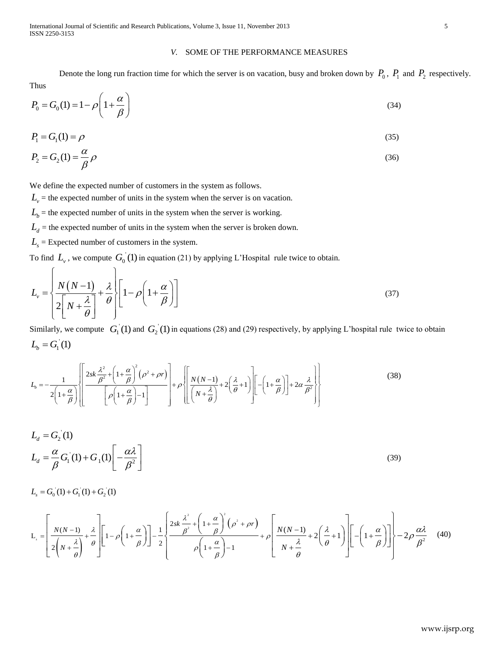International Journal of Scientific and Research Publications, Volume 3, Issue 11, November 2013 5 ISSN 2250-3153

## *V.* SOME OF THE PERFORMANCE MEASURES

Denote the long run fraction time for which the server is on vacation, busy and broken down by  $P_0$ ,  $P_1$  and  $P_2$  respectively.

Thus

$$
P_0 = G_0(1) = 1 - \rho \left( 1 + \frac{\alpha}{\beta} \right) \tag{34}
$$

$$
P_1 = G_1(1) = \rho \tag{35}
$$

$$
P_2 = G_2(1) = \frac{\alpha}{\beta} \rho \tag{36}
$$

We define the expected number of customers in the system as follows.

 $L<sub>v</sub>$  = the expected number of units in the system when the server is on vacation.

- $L_b$  = the expected number of units in the system when the server is working.
- $L_d$  = the expected number of units in the system when the server is broken down.
- $L<sub>s</sub>$  = Expected number of customers in the system.

To find  $L_v$ , we compute  $G_0(1)$  in equation (21) by applying L'Hospital rule twice to obtain.

$$
L_{\nu} = \left\{ \frac{N(N-1)}{2\left[N + \frac{\lambda}{\theta}\right]} + \frac{\lambda}{\theta} \right\} \left[ 1 - \rho \left(1 + \frac{\alpha}{\beta}\right) \right]
$$
(37)

Similarly, we compute  $G_1(1)$  and  $G_2(1)$  in equations (28) and (29) respectively, by applying L'hospital rule twice to obtain  $L_{b} = G_{1}^{'}(1)$ 

Similarly, we compute 
$$
G_1(1)
$$
 and  $G_2(1)$  in equations (28) and (29) respectively, by applying L hospital rule two  
\n
$$
L_b = G_1(1)
$$
\n
$$
L_b = -\frac{1}{2\left(1+\frac{\alpha}{\beta}\right)} \left[ \frac{2sk\frac{\lambda^2}{\beta^2} + \left(1+\frac{\alpha}{\beta}\right)^2 (\rho^2 + \rho r)}{\left[\rho\left(1+\frac{\alpha}{\beta}\right)-1\right]} + \rho \left[\frac{N(N-1)}{\left(N+\frac{\lambda}{\theta}\right)} + 2\left(\frac{\lambda}{\theta}+1\right) \right] \left[-\left(1+\frac{\alpha}{\beta}\right)\right] + 2\alpha \frac{\lambda}{\beta^2} \right] \tag{38}
$$

$$
L_d = G_2(1)
$$
  

$$
L_d = \frac{\alpha}{\beta} G_1(1) + G_1(1) \left[ -\frac{\alpha \lambda}{\beta^2} \right]
$$
 (39)

 $L_s = G_0(1) + G_1(1) + G_2(1)$ 

$$
L_{s} = G_{0}(1) + G_{1}(1) + G_{2}(1)
$$
\n
$$
L_{s} = \left[\frac{N(N-1)}{2\left(N + \frac{\lambda}{\theta}\right)} + \frac{\lambda}{\theta}\right] \left[1 - \rho\left(1 + \frac{\alpha}{\beta}\right)\right] - \frac{1}{2} \left\{\frac{2sk\frac{\lambda^{2}}{\beta^{2}} + \left(1 + \frac{\alpha}{\beta}\right)^{2}(\rho^{2} + \rho r)}{\rho\left(1 + \frac{\alpha}{\beta}\right) - 1} + \rho\left[\frac{N(N-1)}{N + \frac{\lambda}{\theta}} + 2\left(\frac{\lambda}{\theta} + 1\right)\right] - \left(1 + \frac{\alpha}{\beta}\right)\right] \right\} - 2\rho\frac{\alpha\lambda}{\beta^{2}} \tag{40}
$$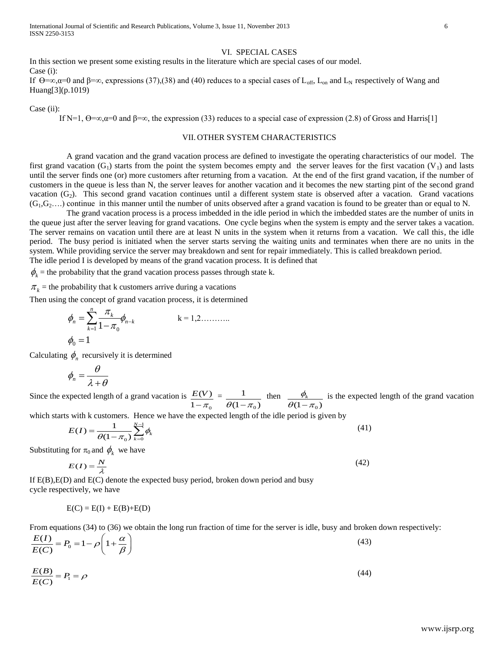International Journal of Scientific and Research Publications, Volume 3, Issue 11, November 2013 6 ISSN 2250-3153

# VI. SPECIAL CASES

In this section we present some existing results in the literature which are special cases of our model. Case (i):

If  $\Theta = \infty$ ,  $\alpha = 0$  and  $\beta = \infty$ , expressions (37),(38) and (40) reduces to a special cases of L<sub>off</sub>, L<sub>on</sub> and L<sub>N</sub> respectively of Wang and Huang[3](p.1019)

Case (ii):

If N=1,  $\Theta = \infty$ ,  $\alpha = 0$  and  $\beta = \infty$ , the expression (33) reduces to a special case of expression (2.8) of Gross and Harris[1]

## VII. OTHER SYSTEM CHARACTERISTICS

A grand vacation and the grand vacation process are defined to investigate the operating characteristics of our model. The first grand vacation  $(G_1)$  starts from the point the system becomes empty and the server leaves for the first vacation  $(V_1)$  and lasts until the server finds one (or) more customers after returning from a vacation. At the end of the first grand vacation, if the number of customers in the queue is less than N, the server leaves for another vacation and it becomes the new starting pint of the second grand vacation  $(G_2)$ . This second grand vacation continues until a different system state is observed after a vacation. Grand vacations  $(G_1, G_2, \ldots)$  continue in this manner until the number of units observed after a grand vacation is found to be greater than or equal to N.

The grand vacation process is a process imbedded in the idle period in which the imbedded states are the number of units in the queue just after the server leaving for grand vacations. One cycle begins when the system is empty and the server takes a vacation. The server remains on vacation until there are at least N units in the system when it returns from a vacation. We call this, the idle period. The busy period is initiated when the server starts serving the waiting units and terminates when there are no units in the system. While providing service the server may breakdown and sent for repair immediately. This is called breakdown period. The idle period I is developed by means of the grand vacation process. It is defined that

 $\phi_k$  = the probability that the grand vacation process passes through state k.

 $\pi_k$  = the probability that k customers arrive during a vacations

Then using the concept of grand vacation process, it is determined

$$
\phi_n = \sum_{k=1}^n \frac{\pi_k}{1 - \pi_0} \phi_{n-k} \qquad k = 1, 2, \dots, \dots
$$
  

$$
\phi_0 = 1
$$

Calculating  $\phi_n$  recursively it is determined

$$
\phi_n = \frac{\theta}{\lambda + \theta}
$$

Since the expected length of a grand vacation is  $\mathbf 0$  $(V)$  $\overline{1}$ *E V*  $-\pi$ =  $\mathbf 0$ 1  $\overline{\theta(1 - \pi_0)}$ then  $\overline{(1 - \pi_0)}$  $\phi_{\scriptscriptstyle{k}}$  $\overline{\theta(1-\pi)}$ is the expected length of the grand vacation

which starts with k customers. Hence we have the expected length of the idle period is given by

$$
E(I) = \frac{1}{\theta(1 - \pi_0)} \sum_{k=0}^{N-1} \phi_k
$$
\n(41)

Substituting for  $\pi_0$  and  $\phi_k$  we have

$$
E(I) = \frac{N}{\lambda} \tag{42}
$$

If E(B),E(D) and E(C) denote the expected busy period, broken down period and busy cycle respectively, we have

$$
E(C) = E(I) + E(B) + E(D)
$$

From equations (34) to (36) we obtain the long run fraction of time for the server is idle, busy and broken down respectively:  
\n
$$
\frac{E(I)}{E(C)} = P_0 = 1 - \rho \left(1 + \frac{\alpha}{\beta}\right)
$$
\n(43)

$$
\frac{E(B)}{E(C)} = P_1 = \rho \tag{44}
$$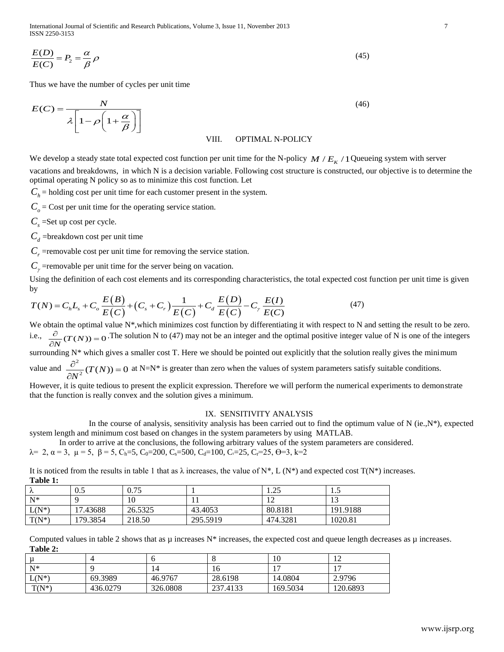International Journal of Scientific and Research Publications, Volume 3, Issue 11, November 2013 7 ISSN 2250-3153

$$
\frac{E(D)}{E(C)} = P_2 = \frac{\alpha}{\beta} \rho \tag{45}
$$

$$
E(C) = \frac{N}{\lambda \left[1 - \rho \left(1 + \frac{\alpha}{\beta}\right)\right]}
$$
(46)

## VIII. OPTIMAL N-POLICY

Using the definition of each cost elements and its corresponding characteristics, the total expected cost  
by  

$$
T(N) = C_h L_s + C_o \frac{E(B)}{E(C)} + (C_s + C_r) \frac{1}{E(C)} + C_d \frac{E(D)}{E(C)} - C_r \frac{E(I)}{E(C)}
$$
(47)

#### IX. SENSITIVITY ANALYSIS

It is noticed from the results in table 1 that as  $\lambda$  increases, the value of N\*, L (N\*) and expected cost T(N\*) increases. **Table 1:**

| $\overline{E(C)}$ – $I_2$ – $\overline{\beta}$ $\mu$ |                                                                                        |                                                                                                                                                                 |          |               |                                                                                           |                                                                                                                                                        |                                                                                                                                                                                                                                                                                                             |
|------------------------------------------------------|----------------------------------------------------------------------------------------|-----------------------------------------------------------------------------------------------------------------------------------------------------------------|----------|---------------|-------------------------------------------------------------------------------------------|--------------------------------------------------------------------------------------------------------------------------------------------------------|-------------------------------------------------------------------------------------------------------------------------------------------------------------------------------------------------------------------------------------------------------------------------------------------------------------|
|                                                      |                                                                                        | Thus we have the number of cycles per unit time                                                                                                                 |          |               |                                                                                           |                                                                                                                                                        |                                                                                                                                                                                                                                                                                                             |
|                                                      | $E(C) = \frac{N}{\lambda \left[1 - \rho \left(1 + \frac{\alpha}{\beta}\right)\right]}$ |                                                                                                                                                                 |          |               |                                                                                           | (46)                                                                                                                                                   |                                                                                                                                                                                                                                                                                                             |
|                                                      |                                                                                        |                                                                                                                                                                 |          | VIII.         | <b>OPTIMAL N-POLICY</b>                                                                   |                                                                                                                                                        |                                                                                                                                                                                                                                                                                                             |
|                                                      |                                                                                        | optimal operating N policy so as to minimize this cost function. Let<br>$C_h$ = holding cost per unit time for each customer present in the system.             |          |               |                                                                                           | We develop a steady state total expected cost function per unit time for the N-policy $M/E_K/1$ Queueing system with server                            | vacations and breakdowns, in which N is a decision variable. Following cost structure is constructed, our objective is to determine the                                                                                                                                                                     |
|                                                      |                                                                                        | $Co$ = Cost per unit time for the operating service station.                                                                                                    |          |               |                                                                                           |                                                                                                                                                        |                                                                                                                                                                                                                                                                                                             |
|                                                      | $Cs$ =Set up cost per cycle.                                                           |                                                                                                                                                                 |          |               |                                                                                           |                                                                                                                                                        |                                                                                                                                                                                                                                                                                                             |
|                                                      | $C_d$ =breakdown cost per unit time                                                    |                                                                                                                                                                 |          |               |                                                                                           |                                                                                                                                                        |                                                                                                                                                                                                                                                                                                             |
|                                                      |                                                                                        | $C_r$ = removable cost per unit time for removing the service station.                                                                                          |          |               |                                                                                           |                                                                                                                                                        |                                                                                                                                                                                                                                                                                                             |
|                                                      |                                                                                        | $C_{\gamma}$ =removable per unit time for the server being on vacation.                                                                                         |          |               |                                                                                           |                                                                                                                                                        |                                                                                                                                                                                                                                                                                                             |
| by                                                   |                                                                                        |                                                                                                                                                                 |          |               |                                                                                           |                                                                                                                                                        | Using the definition of each cost elements and its corresponding characteristics, the total expected cost function per unit time is given                                                                                                                                                                   |
|                                                      |                                                                                        | $T(N) = C_h L_s + C_o \frac{E(B)}{E(C)} + (C_s + C_r) \frac{1}{E(C)} + C_d \frac{E(D)}{E(C)} - C_r \frac{E(I)}{E(C)}$                                           |          |               |                                                                                           | (47)                                                                                                                                                   |                                                                                                                                                                                                                                                                                                             |
|                                                      |                                                                                        |                                                                                                                                                                 |          |               |                                                                                           |                                                                                                                                                        | We obtain the optimal value N*, which minimizes cost function by differentiating it with respect to N and setting the result to be zero.<br>i.e., $\frac{\partial}{\partial N}(T(N)) = 0$ . The solution N to (47) may not be an integer and the optimal positive integer value of N is one of the integers |
|                                                      |                                                                                        |                                                                                                                                                                 |          |               |                                                                                           |                                                                                                                                                        | surrounding $N^*$ which gives a smaller cost T. Here we should be pointed out explicitly that the solution really gives the minimum                                                                                                                                                                         |
|                                                      |                                                                                        |                                                                                                                                                                 |          |               |                                                                                           | value and $\frac{\partial^2}{\partial x'^2} (T(N)) = 0$ at N=N* is greater than zero when the values of system parameters satisfy suitable conditions. |                                                                                                                                                                                                                                                                                                             |
|                                                      |                                                                                        | that the function is really convex and the solution gives a minimum.                                                                                            |          |               |                                                                                           |                                                                                                                                                        | However, it is quite tedious to present the explicit expression. Therefore we will perform the numerical experiments to demonstrate                                                                                                                                                                         |
|                                                      |                                                                                        |                                                                                                                                                                 |          |               | IX. SENSITIVITY ANALYSIS                                                                  |                                                                                                                                                        |                                                                                                                                                                                                                                                                                                             |
|                                                      |                                                                                        |                                                                                                                                                                 |          |               |                                                                                           |                                                                                                                                                        | In the course of analysis, sensitivity analysis has been carried out to find the optimum value of N (ie., $N^*$ ), expected                                                                                                                                                                                 |
|                                                      |                                                                                        |                                                                                                                                                                 |          |               | system length and minimum cost based on changes in the system parameters by using MATLAB. |                                                                                                                                                        |                                                                                                                                                                                                                                                                                                             |
|                                                      |                                                                                        | $\lambda = 2$ , $\alpha = 3$ , $\mu = 5$ , $\beta = 5$ , $C_h = 5$ , $C_0 = 200$ , $C_s = 500$ , $C_d = 100$ , $C_v = 25$ , $C_r = 25$ , $\theta = 3$ , $k = 2$ |          |               |                                                                                           | In order to arrive at the conclusions, the following arbitrary values of the system parameters are considered.                                         |                                                                                                                                                                                                                                                                                                             |
|                                                      |                                                                                        |                                                                                                                                                                 |          |               |                                                                                           |                                                                                                                                                        |                                                                                                                                                                                                                                                                                                             |
|                                                      |                                                                                        |                                                                                                                                                                 |          |               |                                                                                           | It is noticed from the results in table 1 that as $\lambda$ increases, the value of N*, L (N*) and expected cost T(N*) increases.                      |                                                                                                                                                                                                                                                                                                             |
| Table 1:<br>λ                                        | 0.5                                                                                    | 0.75                                                                                                                                                            | 1        |               | 1.25                                                                                      | 1.5                                                                                                                                                    |                                                                                                                                                                                                                                                                                                             |
| ${\rm N^*}$                                          | 9                                                                                      | 10                                                                                                                                                              | 11       |               | 12                                                                                        | 13                                                                                                                                                     |                                                                                                                                                                                                                                                                                                             |
| $L(N^*)$                                             | 17.43688                                                                               | 26.5325                                                                                                                                                         | 43.4053  |               | 80.8181                                                                                   | 191.9188                                                                                                                                               |                                                                                                                                                                                                                                                                                                             |
| $T(N^*)$                                             | 179.3854                                                                               | 218.50                                                                                                                                                          | 295.5919 |               | 474.3281                                                                                  | 1020.81                                                                                                                                                |                                                                                                                                                                                                                                                                                                             |
|                                                      |                                                                                        |                                                                                                                                                                 |          |               |                                                                                           | Computed values in table 2 shows that as $\mu$ increases $N^*$ increases, the expected cost and queue length decreases as $\mu$ increases.             |                                                                                                                                                                                                                                                                                                             |
| Table 2:                                             |                                                                                        |                                                                                                                                                                 |          |               |                                                                                           |                                                                                                                                                        |                                                                                                                                                                                                                                                                                                             |
| $\mu$<br>$\overline{N^*}$                            | 4<br>9                                                                                 | 6                                                                                                                                                               |          | 8             | 10                                                                                        | 12                                                                                                                                                     |                                                                                                                                                                                                                                                                                                             |
| $L(N^*)$                                             | 69.3989                                                                                | 14<br>46.9767                                                                                                                                                   |          | 16<br>28.6198 | 17<br>14.0804                                                                             | 17<br>2.9796                                                                                                                                           |                                                                                                                                                                                                                                                                                                             |
| $T(N^*)$                                             | 436.0279                                                                               | 326.0808                                                                                                                                                        |          | 237.4133      | 169.5034                                                                                  | 120.6893                                                                                                                                               |                                                                                                                                                                                                                                                                                                             |
|                                                      |                                                                                        |                                                                                                                                                                 |          |               |                                                                                           |                                                                                                                                                        |                                                                                                                                                                                                                                                                                                             |
|                                                      |                                                                                        |                                                                                                                                                                 |          |               |                                                                                           |                                                                                                                                                        |                                                                                                                                                                                                                                                                                                             |
|                                                      |                                                                                        |                                                                                                                                                                 |          |               |                                                                                           |                                                                                                                                                        | www.ijsrp.org                                                                                                                                                                                                                                                                                               |
|                                                      |                                                                                        |                                                                                                                                                                 |          |               |                                                                                           |                                                                                                                                                        |                                                                                                                                                                                                                                                                                                             |

|          |          |          |          |          | $\sim$<br><b>I</b> 4 |
|----------|----------|----------|----------|----------|----------------------|
| $N^*$    |          |          | 10       |          | $\blacksquare$       |
| $L(N^*)$ | 69.3989  | 46.9767  | 28.6198  | 14.0804  | 2.9796               |
| $T(N^*)$ | 436.0279 | 326.0808 | 237.4133 | 169.5034 | 120.6893             |